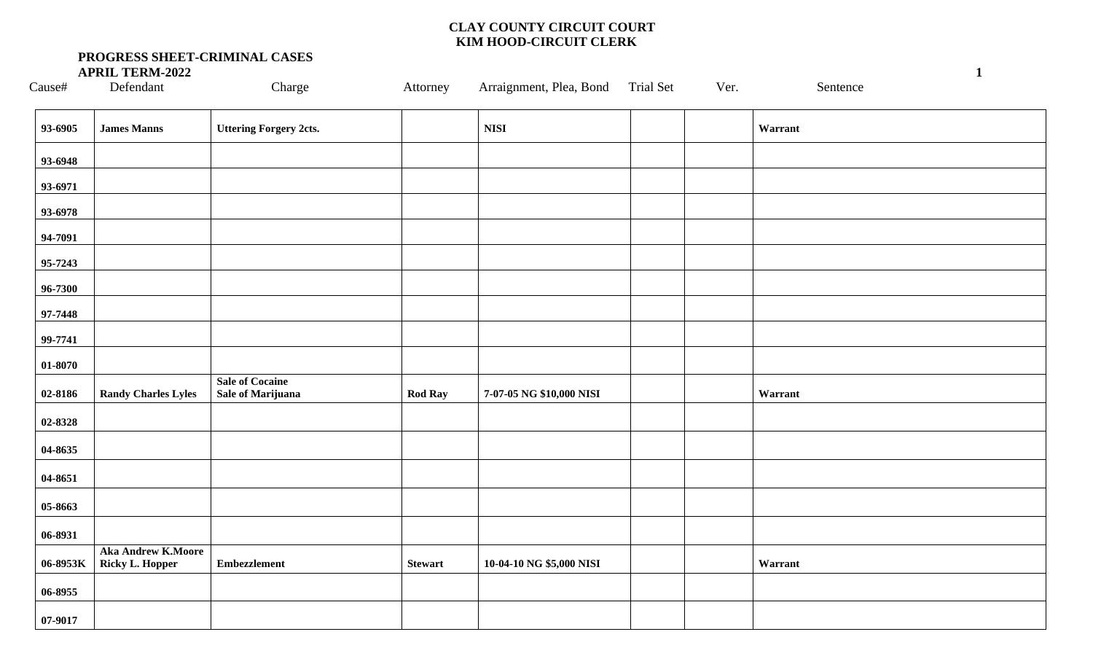| $\rm{Cause}$ | Defendant                                    | Charge                                             | Attorney       | Arraignment, Plea, Bond Trial Set | Ver. | Sentence |
|--------------|----------------------------------------------|----------------------------------------------------|----------------|-----------------------------------|------|----------|
| 93-6905      | <b>James Manns</b>                           | <b>Uttering Forgery 2cts.</b>                      |                | <b>NISI</b>                       |      | Warrant  |
| 93-6948      |                                              |                                                    |                |                                   |      |          |
| 93-6971      |                                              |                                                    |                |                                   |      |          |
| 93-6978      |                                              |                                                    |                |                                   |      |          |
| 94-7091      |                                              |                                                    |                |                                   |      |          |
| 95-7243      |                                              |                                                    |                |                                   |      |          |
| 96-7300      |                                              |                                                    |                |                                   |      |          |
| 97-7448      |                                              |                                                    |                |                                   |      |          |
| 99-7741      |                                              |                                                    |                |                                   |      |          |
| 01-8070      |                                              |                                                    |                |                                   |      |          |
| 02-8186      | <b>Randy Charles Lyles</b>                   | <b>Sale of Cocaine</b><br><b>Sale of Marijuana</b> | <b>Rod Ray</b> | 7-07-05 NG \$10,000 NISI          |      | Warrant  |
| 02-8328      |                                              |                                                    |                |                                   |      |          |
| 04-8635      |                                              |                                                    |                |                                   |      |          |
| 04-8651      |                                              |                                                    |                |                                   |      |          |
| 05-8663      |                                              |                                                    |                |                                   |      |          |
| 06-8931      |                                              |                                                    |                |                                   |      |          |
| 06-8953K     | <b>Aka Andrew K.Moore</b><br>Ricky L. Hopper | <b>Embezzlement</b>                                | <b>Stewart</b> | 10-04-10 NG \$5,000 NISI          |      | Warrant  |
| 06-8955      |                                              |                                                    |                |                                   |      |          |
| 07-9017      |                                              |                                                    |                |                                   |      |          |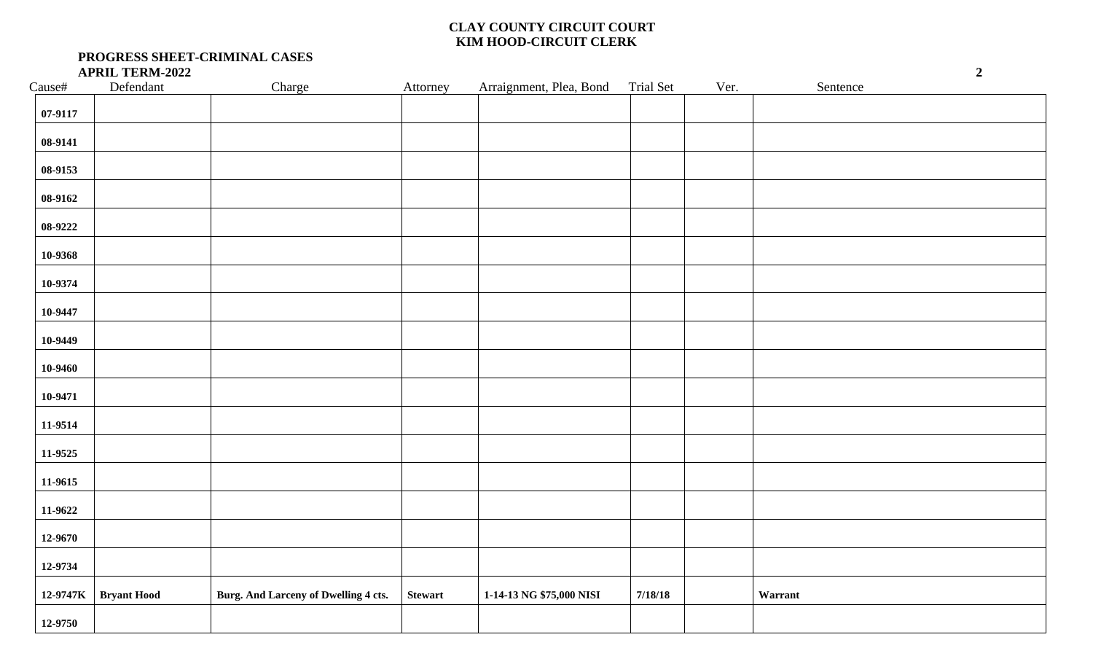| Cause#                                                                     | $\operatorname{Defendant}$ | Charge                               | Attorney       | Arraignment, Plea, Bond  | Trial Set | Ver. | Sentence |
|----------------------------------------------------------------------------|----------------------------|--------------------------------------|----------------|--------------------------|-----------|------|----------|
| 07-9117                                                                    |                            |                                      |                |                          |           |      |          |
| 08-9141                                                                    |                            |                                      |                |                          |           |      |          |
| 08-9153                                                                    |                            |                                      |                |                          |           |      |          |
| 08-9162                                                                    |                            |                                      |                |                          |           |      |          |
| 08-9222                                                                    |                            |                                      |                |                          |           |      |          |
| 10-9368                                                                    |                            |                                      |                |                          |           |      |          |
| 10-9374                                                                    |                            |                                      |                |                          |           |      |          |
| 10-9447                                                                    |                            |                                      |                |                          |           |      |          |
| 10-9449                                                                    |                            |                                      |                |                          |           |      |          |
| 10-9460                                                                    |                            |                                      |                |                          |           |      |          |
| 10-9471                                                                    |                            |                                      |                |                          |           |      |          |
| 11-9514                                                                    |                            |                                      |                |                          |           |      |          |
|                                                                            |                            |                                      |                |                          |           |      |          |
|                                                                            |                            |                                      |                |                          |           |      |          |
|                                                                            |                            |                                      |                |                          |           |      |          |
|                                                                            |                            |                                      |                |                          |           |      |          |
|                                                                            |                            |                                      |                |                          |           |      |          |
|                                                                            |                            |                                      |                |                          |           |      |          |
|                                                                            |                            |                                      |                |                          |           |      |          |
| 11-9525<br>11-9615<br>11-9622<br>12-9670<br>12-9734<br>12-9747K<br>12-9750 | <b>Bryant Hood</b>         | Burg. And Larceny of Dwelling 4 cts. | <b>Stewart</b> | 1-14-13 NG \$75,000 NISI | 7/18/18   |      | Warrant  |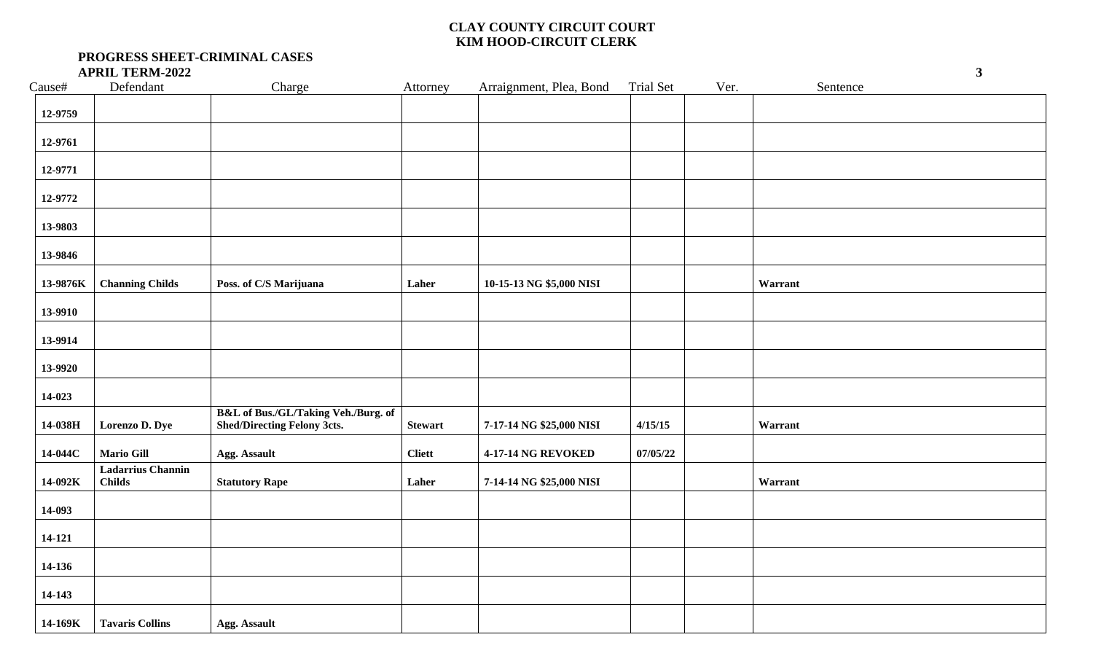| Cause#   | Defendant                                 | Charge                                                                               | Attorney       | Arraignment, Plea, Bond   | <b>Trial Set</b> | Ver. | Sentence |
|----------|-------------------------------------------|--------------------------------------------------------------------------------------|----------------|---------------------------|------------------|------|----------|
| 12-9759  |                                           |                                                                                      |                |                           |                  |      |          |
| 12-9761  |                                           |                                                                                      |                |                           |                  |      |          |
| 12-9771  |                                           |                                                                                      |                |                           |                  |      |          |
| 12-9772  |                                           |                                                                                      |                |                           |                  |      |          |
| 13-9803  |                                           |                                                                                      |                |                           |                  |      |          |
| 13-9846  |                                           |                                                                                      |                |                           |                  |      |          |
| 13-9876K | <b>Channing Childs</b>                    | Poss. of C/S Marijuana                                                               | Laher          | 10-15-13 NG \$5,000 NISI  |                  |      | Warrant  |
| 13-9910  |                                           |                                                                                      |                |                           |                  |      |          |
| 13-9914  |                                           |                                                                                      |                |                           |                  |      |          |
| 13-9920  |                                           |                                                                                      |                |                           |                  |      |          |
| 14-023   |                                           |                                                                                      |                |                           |                  |      |          |
| 14-038H  | Lorenzo D. Dye                            | <b>B&amp;L</b> of Bus./GL/Taking Veh./Burg. of<br><b>Shed/Directing Felony 3cts.</b> | <b>Stewart</b> | 7-17-14 NG \$25,000 NISI  | 4/15/15          |      | Warrant  |
| 14-044C  | <b>Mario Gill</b>                         | <b>Agg. Assault</b>                                                                  | <b>Cliett</b>  | <b>4-17-14 NG REVOKED</b> | 07/05/22         |      |          |
| 14-092K  | <b>Ladarrius Channin</b><br><b>Childs</b> | <b>Statutory Rape</b>                                                                | Laher          | 7-14-14 NG \$25,000 NISI  |                  |      | Warrant  |
| 14-093   |                                           |                                                                                      |                |                           |                  |      |          |
| 14-121   |                                           |                                                                                      |                |                           |                  |      |          |
| 14-136   |                                           |                                                                                      |                |                           |                  |      |          |
| 14-143   |                                           |                                                                                      |                |                           |                  |      |          |
| 14-169K  | <b>Tavaris Collins</b>                    | <b>Agg. Assault</b>                                                                  |                |                           |                  |      |          |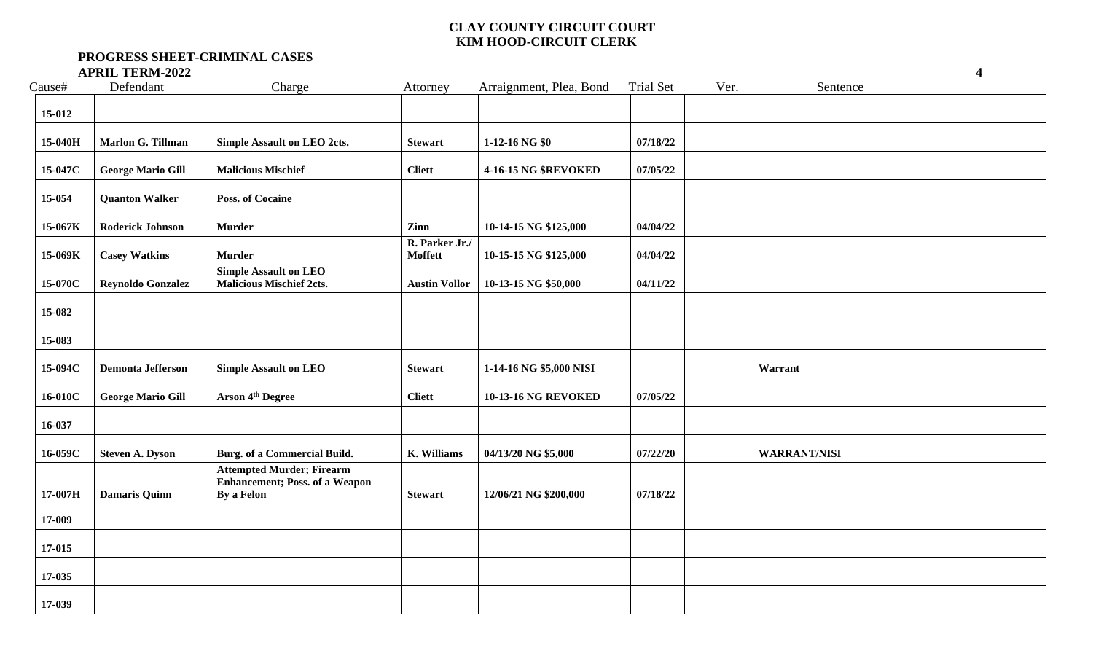| Cause#  | Defendant                | Charge                                                                                  | Attorney                         | Arraignment, Plea, Bond     | <b>Trial Set</b> | Ver. | Sentence            |  |
|---------|--------------------------|-----------------------------------------------------------------------------------------|----------------------------------|-----------------------------|------------------|------|---------------------|--|
| 15-012  |                          |                                                                                         |                                  |                             |                  |      |                     |  |
| 15-040H | Marlon G. Tillman        | <b>Simple Assault on LEO 2cts.</b>                                                      | <b>Stewart</b>                   | 1-12-16 NG \$0              | 07/18/22         |      |                     |  |
| 15-047C | <b>George Mario Gill</b> | <b>Malicious Mischief</b>                                                               | <b>Cliett</b>                    | <b>4-16-15 NG \$REVOKED</b> | 07/05/22         |      |                     |  |
| 15-054  | <b>Quanton Walker</b>    | <b>Poss. of Cocaine</b>                                                                 |                                  |                             |                  |      |                     |  |
| 15-067K | <b>Roderick Johnson</b>  | <b>Murder</b>                                                                           | Zinn                             | 10-14-15 NG \$125,000       | 04/04/22         |      |                     |  |
| 15-069K | <b>Casey Watkins</b>     | <b>Murder</b>                                                                           | R. Parker Jr./<br><b>Moffett</b> | 10-15-15 NG \$125,000       | 04/04/22         |      |                     |  |
| 15-070C | <b>Reynoldo Gonzalez</b> | <b>Simple Assault on LEO</b><br><b>Malicious Mischief 2cts.</b>                         | <b>Austin Vollor</b>             | 10-13-15 NG \$50,000        | 04/11/22         |      |                     |  |
| 15-082  |                          |                                                                                         |                                  |                             |                  |      |                     |  |
| 15-083  |                          |                                                                                         |                                  |                             |                  |      |                     |  |
| 15-094C | <b>Demonta Jefferson</b> | <b>Simple Assault on LEO</b>                                                            | <b>Stewart</b>                   | 1-14-16 NG \$5,000 NISI     |                  |      | Warrant             |  |
| 16-010C | <b>George Mario Gill</b> | Arson 4 <sup>th</sup> Degree                                                            | <b>Cliett</b>                    | <b>10-13-16 NG REVOKED</b>  | 07/05/22         |      |                     |  |
| 16-037  |                          |                                                                                         |                                  |                             |                  |      |                     |  |
| 16-059C | <b>Steven A. Dyson</b>   | <b>Burg.</b> of a Commercial Build.                                                     | K. Williams                      | 04/13/20 NG \$5,000         | 07/22/20         |      | <b>WARRANT/NISI</b> |  |
| 17-007H | <b>Damaris Quinn</b>     | <b>Attempted Murder; Firearm</b><br><b>Enhancement; Poss. of a Weapon</b><br>By a Felon | <b>Stewart</b>                   | 12/06/21 NG \$200,000       | 07/18/22         |      |                     |  |
| 17-009  |                          |                                                                                         |                                  |                             |                  |      |                     |  |
| 17-015  |                          |                                                                                         |                                  |                             |                  |      |                     |  |
| 17-035  |                          |                                                                                         |                                  |                             |                  |      |                     |  |
| 17-039  |                          |                                                                                         |                                  |                             |                  |      |                     |  |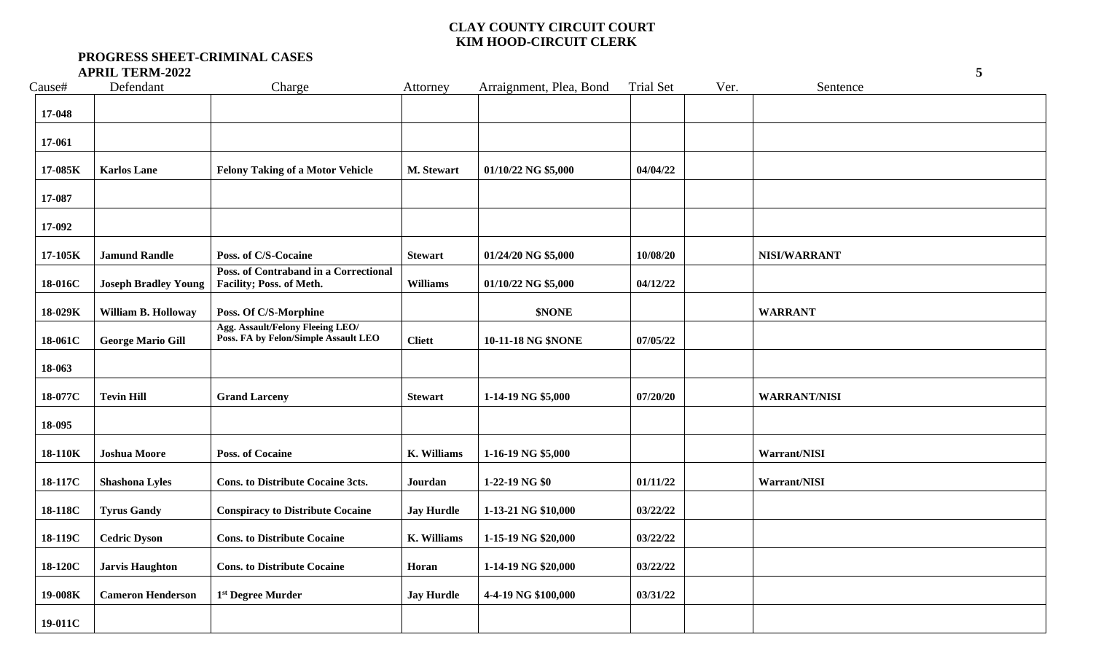| Cause#  | Defendant                   | Charge                                                                   | Attorney           | Arraignment, Plea, Bond | <b>Trial Set</b> | Ver. | Sentence            |  |
|---------|-----------------------------|--------------------------------------------------------------------------|--------------------|-------------------------|------------------|------|---------------------|--|
| 17-048  |                             |                                                                          |                    |                         |                  |      |                     |  |
| 17-061  |                             |                                                                          |                    |                         |                  |      |                     |  |
| 17-085K | <b>Karlos Lane</b>          | <b>Felony Taking of a Motor Vehicle</b>                                  | M. Stewart         | 01/10/22 NG \$5,000     | 04/04/22         |      |                     |  |
| 17-087  |                             |                                                                          |                    |                         |                  |      |                     |  |
| 17-092  |                             |                                                                          |                    |                         |                  |      |                     |  |
| 17-105K | <b>Jamund Randle</b>        | Poss. of C/S-Cocaine                                                     | <b>Stewart</b>     | 01/24/20 NG \$5,000     | 10/08/20         |      | NISI/WARRANT        |  |
| 18-016C | <b>Joseph Bradley Young</b> | Poss. of Contraband in a Correctional<br>Facility; Poss. of Meth.        | <b>Williams</b>    | 01/10/22 NG \$5,000     | 04/12/22         |      |                     |  |
| 18-029K | William B. Holloway         | Poss. Of C/S-Morphine                                                    |                    | \$NONE                  |                  |      | <b>WARRANT</b>      |  |
| 18-061C | <b>George Mario Gill</b>    | Agg. Assault/Felony Fleeing LEO/<br>Poss. FA by Felon/Simple Assault LEO | <b>Cliett</b>      | 10-11-18 NG \$NONE      | 07/05/22         |      |                     |  |
| 18-063  |                             |                                                                          |                    |                         |                  |      |                     |  |
| 18-077C | <b>Tevin Hill</b>           | <b>Grand Larceny</b>                                                     | <b>Stewart</b>     | 1-14-19 NG \$5,000      | 07/20/20         |      | <b>WARRANT/NISI</b> |  |
| 18-095  |                             |                                                                          |                    |                         |                  |      |                     |  |
| 18-110K | <b>Joshua Moore</b>         | <b>Poss. of Cocaine</b>                                                  | K. Williams        | 1-16-19 NG \$5,000      |                  |      | Warrant/NISI        |  |
| 18-117C | <b>Shashona Lyles</b>       | <b>Cons. to Distribute Cocaine 3cts.</b>                                 | Jourdan            | 1-22-19 NG \$0          | 01/11/22         |      | Warrant/NISI        |  |
| 18-118C | <b>Tyrus Gandy</b>          | <b>Conspiracy to Distribute Cocaine</b>                                  | <b>Jay Hurdle</b>  | 1-13-21 NG \$10,000     | 03/22/22         |      |                     |  |
| 18-119C | <b>Cedric Dyson</b>         | <b>Cons. to Distribute Cocaine</b>                                       | <b>K.</b> Williams | 1-15-19 NG \$20,000     | 03/22/22         |      |                     |  |
| 18-120C | <b>Jarvis Haughton</b>      | <b>Cons. to Distribute Cocaine</b>                                       | Horan              | 1-14-19 NG \$20,000     | 03/22/22         |      |                     |  |
| 19-008K | <b>Cameron Henderson</b>    | 1 <sup>st</sup> Degree Murder                                            | <b>Jay Hurdle</b>  | 4-4-19 NG \$100,000     | 03/31/22         |      |                     |  |
| 19-011C |                             |                                                                          |                    |                         |                  |      |                     |  |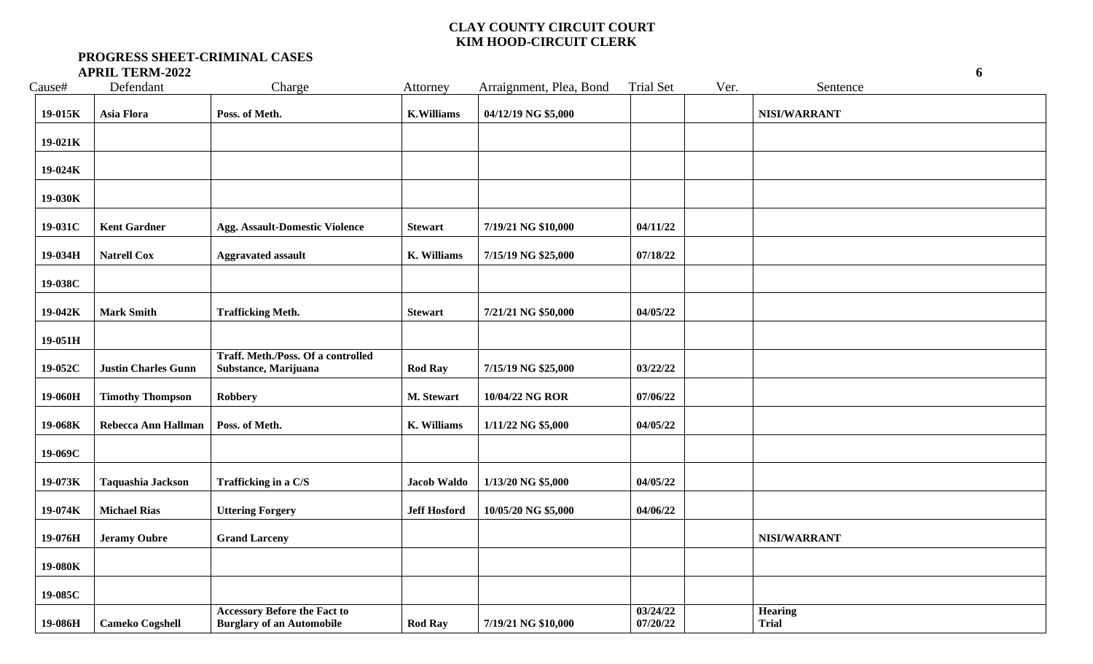| Cause#  | Defendant                  | Charge                                                                  | Attorney            | Arraignment, Plea, Bond | <b>Trial Set</b>     | Ver. | Sentence                       |
|---------|----------------------------|-------------------------------------------------------------------------|---------------------|-------------------------|----------------------|------|--------------------------------|
| 19-015K | Asia Flora                 | Poss. of Meth.                                                          | <b>K.Williams</b>   | 04/12/19 NG \$5,000     |                      |      | NISI/WARRANT                   |
| 19-021K |                            |                                                                         |                     |                         |                      |      |                                |
| 19-024K |                            |                                                                         |                     |                         |                      |      |                                |
| 19-030K |                            |                                                                         |                     |                         |                      |      |                                |
| 19-031C | <b>Kent Gardner</b>        | <b>Agg. Assault-Domestic Violence</b>                                   | <b>Stewart</b>      | 7/19/21 NG \$10,000     | 04/11/22             |      |                                |
| 19-034H | <b>Natrell Cox</b>         | <b>Aggravated assault</b>                                               | <b>K. Williams</b>  | 7/15/19 NG \$25,000     | 07/18/22             |      |                                |
|         |                            |                                                                         |                     |                         |                      |      |                                |
| 19-038C |                            |                                                                         |                     |                         |                      |      |                                |
| 19-042K | <b>Mark Smith</b>          | <b>Trafficking Meth.</b>                                                | <b>Stewart</b>      | 7/21/21 NG \$50,000     | 04/05/22             |      |                                |
| 19-051H |                            |                                                                         |                     |                         |                      |      |                                |
| 19-052C | <b>Justin Charles Gunn</b> | Traff. Meth./Poss. Of a controlled<br>Substance, Marijuana              | <b>Rod Ray</b>      | 7/15/19 NG \$25,000     | 03/22/22             |      |                                |
| 19-060H | <b>Timothy Thompson</b>    | Robbery                                                                 | M. Stewart          | 10/04/22 NG ROR         | 07/06/22             |      |                                |
| 19-068K | Rebecca Ann Hallman        | Poss. of Meth.                                                          | <b>K. Williams</b>  | 1/11/22 NG \$5,000      | 04/05/22             |      |                                |
| 19-069C |                            |                                                                         |                     |                         |                      |      |                                |
| 19-073K | Taquashia Jackson          | Trafficking in a C/S                                                    | <b>Jacob Waldo</b>  | 1/13/20 NG \$5,000      | 04/05/22             |      |                                |
| 19-074K | <b>Michael Rias</b>        | <b>Uttering Forgery</b>                                                 | <b>Jeff Hosford</b> | 10/05/20 NG \$5,000     | 04/06/22             |      |                                |
| 19-076H | <b>Jeramy Oubre</b>        | <b>Grand Larceny</b>                                                    |                     |                         |                      |      | NISI/WARRANT                   |
| 19-080K |                            |                                                                         |                     |                         |                      |      |                                |
| 19-085C |                            |                                                                         |                     |                         |                      |      |                                |
| 19-086H | <b>Cameko Cogshell</b>     | <b>Accessory Before the Fact to</b><br><b>Burglary of an Automobile</b> | <b>Rod Ray</b>      | 7/19/21 NG \$10,000     | 03/24/22<br>07/20/22 |      | <b>Hearing</b><br><b>Trial</b> |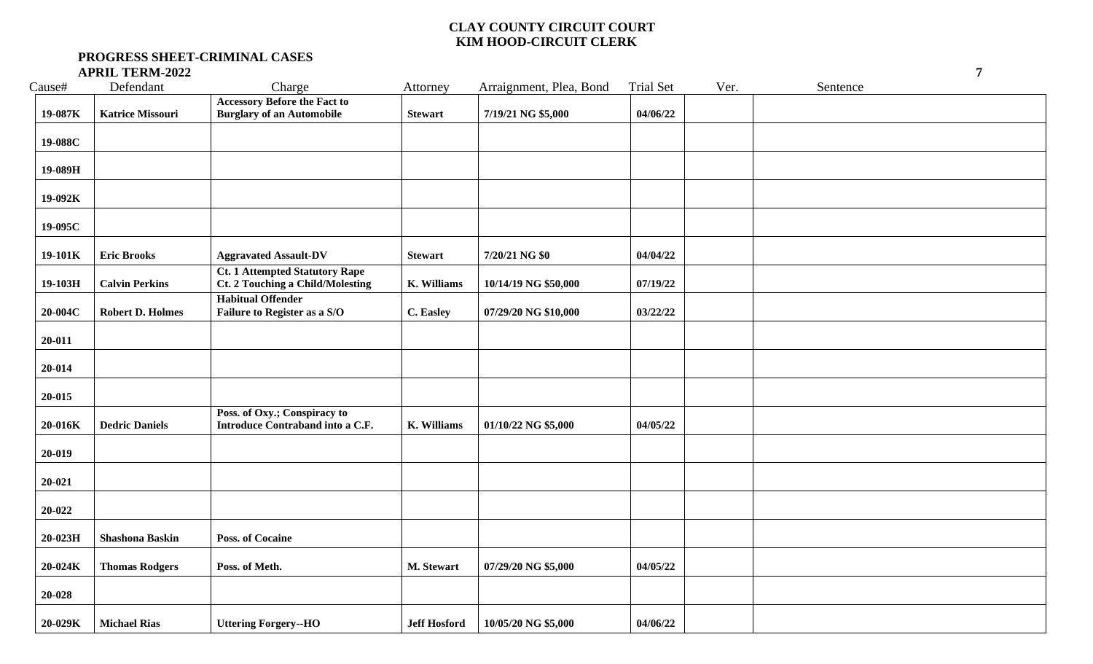| Cause#    | Defendant               | Charge                                                                           | Attorney            | Arraignment, Plea, Bond | <b>Trial Set</b> | Ver. | Sentence |  |
|-----------|-------------------------|----------------------------------------------------------------------------------|---------------------|-------------------------|------------------|------|----------|--|
| 19-087K   | <b>Katrice Missouri</b> | <b>Accessory Before the Fact to</b><br><b>Burglary of an Automobile</b>          | <b>Stewart</b>      | 7/19/21 NG \$5,000      | 04/06/22         |      |          |  |
| 19-088C   |                         |                                                                                  |                     |                         |                  |      |          |  |
| 19-089H   |                         |                                                                                  |                     |                         |                  |      |          |  |
| 19-092K   |                         |                                                                                  |                     |                         |                  |      |          |  |
| 19-095C   |                         |                                                                                  |                     |                         |                  |      |          |  |
| 19-101K   | <b>Eric Brooks</b>      | <b>Aggravated Assault-DV</b>                                                     | <b>Stewart</b>      | 7/20/21 NG \$0          | 04/04/22         |      |          |  |
| 19-103H   | <b>Calvin Perkins</b>   | <b>Ct. 1 Attempted Statutory Rape</b><br><b>Ct. 2 Touching a Child/Molesting</b> | K. Williams         | 10/14/19 NG \$50,000    | 07/19/22         |      |          |  |
| 20-004C   | <b>Robert D. Holmes</b> | <b>Habitual Offender</b><br>Failure to Register as a S/O                         | C. Easley           | 07/29/20 NG \$10,000    | 03/22/22         |      |          |  |
| 20-011    |                         |                                                                                  |                     |                         |                  |      |          |  |
| 20-014    |                         |                                                                                  |                     |                         |                  |      |          |  |
| 20-015    |                         |                                                                                  |                     |                         |                  |      |          |  |
| 20-016K   | <b>Dedric Daniels</b>   | Poss. of Oxy.; Conspiracy to<br>Introduce Contraband into a C.F.                 | K. Williams         | 01/10/22 NG \$5,000     | 04/05/22         |      |          |  |
| 20-019    |                         |                                                                                  |                     |                         |                  |      |          |  |
| 20-021    |                         |                                                                                  |                     |                         |                  |      |          |  |
| 20-022    |                         |                                                                                  |                     |                         |                  |      |          |  |
| $20-023H$ | <b>Shashona Baskin</b>  | <b>Poss. of Cocaine</b>                                                          |                     |                         |                  |      |          |  |
| 20-024K   | <b>Thomas Rodgers</b>   | Poss. of Meth.                                                                   | M. Stewart          | 07/29/20 NG \$5,000     | 04/05/22         |      |          |  |
| 20-028    |                         |                                                                                  |                     |                         |                  |      |          |  |
| 20-029K   | <b>Michael Rias</b>     | <b>Uttering Forgery--HO</b>                                                      | <b>Jeff Hosford</b> | 10/05/20 NG \$5,000     | 04/06/22         |      |          |  |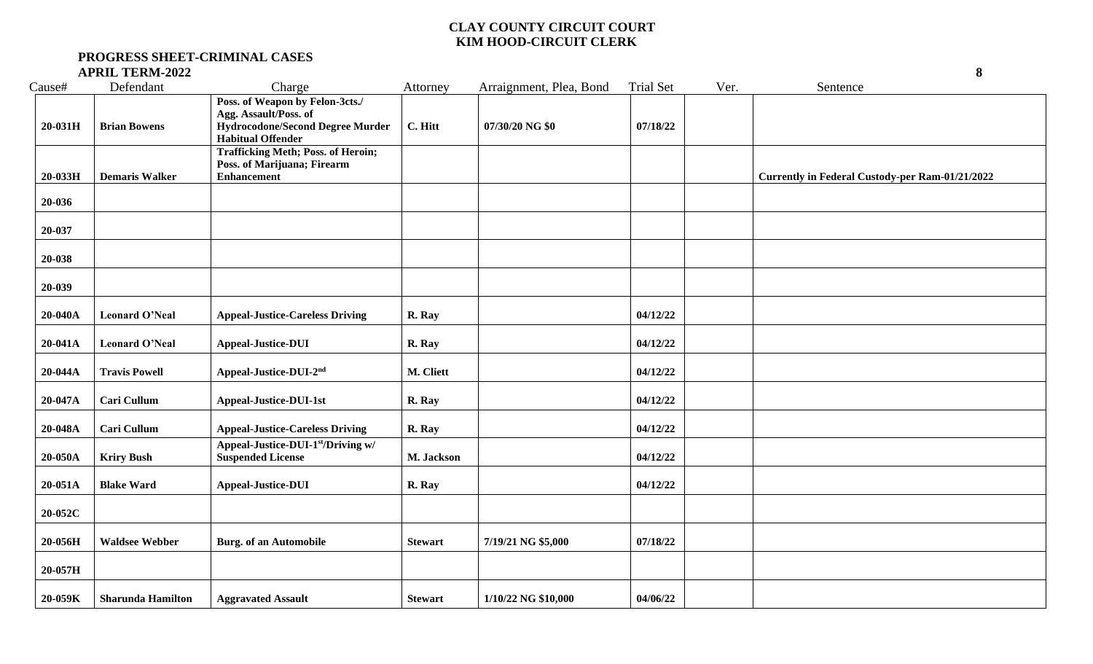| Cause#    | Defendant                | Charge                                                                                                                          | Attorney       | Arraignment, Plea, Bond | <b>Trial Set</b> | Ver. | Sentence                                               |
|-----------|--------------------------|---------------------------------------------------------------------------------------------------------------------------------|----------------|-------------------------|------------------|------|--------------------------------------------------------|
| $20-031H$ | <b>Brian Bowens</b>      | Poss. of Weapon by Felon-3cts./<br>Agg. Assault/Poss. of<br><b>Hydrocodone/Second Degree Murder</b><br><b>Habitual Offender</b> | C. Hitt        | 07/30/20 NG \$0         | 07/18/22         |      |                                                        |
| 20-033H   | <b>Demaris Walker</b>    | <b>Trafficking Meth; Poss. of Heroin;</b><br>Poss. of Marijuana; Firearm<br><b>Enhancement</b>                                  |                |                         |                  |      | <b>Currently in Federal Custody-per Ram-01/21/2022</b> |
| 20-036    |                          |                                                                                                                                 |                |                         |                  |      |                                                        |
| 20-037    |                          |                                                                                                                                 |                |                         |                  |      |                                                        |
| 20-038    |                          |                                                                                                                                 |                |                         |                  |      |                                                        |
| 20-039    |                          |                                                                                                                                 |                |                         |                  |      |                                                        |
| 20-040A   | <b>Leonard O'Neal</b>    | <b>Appeal-Justice-Careless Driving</b>                                                                                          | R. Ray         |                         | 04/12/22         |      |                                                        |
| 20-041A   | <b>Leonard O'Neal</b>    | <b>Appeal-Justice-DUI</b>                                                                                                       | R. Ray         |                         | 04/12/22         |      |                                                        |
| 20-044A   | <b>Travis Powell</b>     | Appeal-Justice-DUI-2nd                                                                                                          | M. Cliett      |                         | 04/12/22         |      |                                                        |
| 20-047A   | Cari Cullum              | <b>Appeal-Justice-DUI-1st</b>                                                                                                   | R. Ray         |                         | 04/12/22         |      |                                                        |
| 20-048A   | Cari Cullum              | <b>Appeal-Justice-Careless Driving</b>                                                                                          | R. Ray         |                         | 04/12/22         |      |                                                        |
| 20-050A   | <b>Kriry Bush</b>        | Appeal-Justice-DUI-1st/Driving w/<br><b>Suspended License</b>                                                                   | M. Jackson     |                         | 04/12/22         |      |                                                        |
| 20-051A   | <b>Blake Ward</b>        | <b>Appeal-Justice-DUI</b>                                                                                                       | R. Ray         |                         | 04/12/22         |      |                                                        |
| 20-052C   |                          |                                                                                                                                 |                |                         |                  |      |                                                        |
| 20-056H   | <b>Waldsee Webber</b>    | <b>Burg.</b> of an Automobile                                                                                                   | <b>Stewart</b> | 7/19/21 NG \$5,000      | 07/18/22         |      |                                                        |
| 20-057H   |                          |                                                                                                                                 |                |                         |                  |      |                                                        |
| 20-059K   | <b>Sharunda Hamilton</b> | <b>Aggravated Assault</b>                                                                                                       | <b>Stewart</b> | 1/10/22 NG \$10,000     | 04/06/22         |      |                                                        |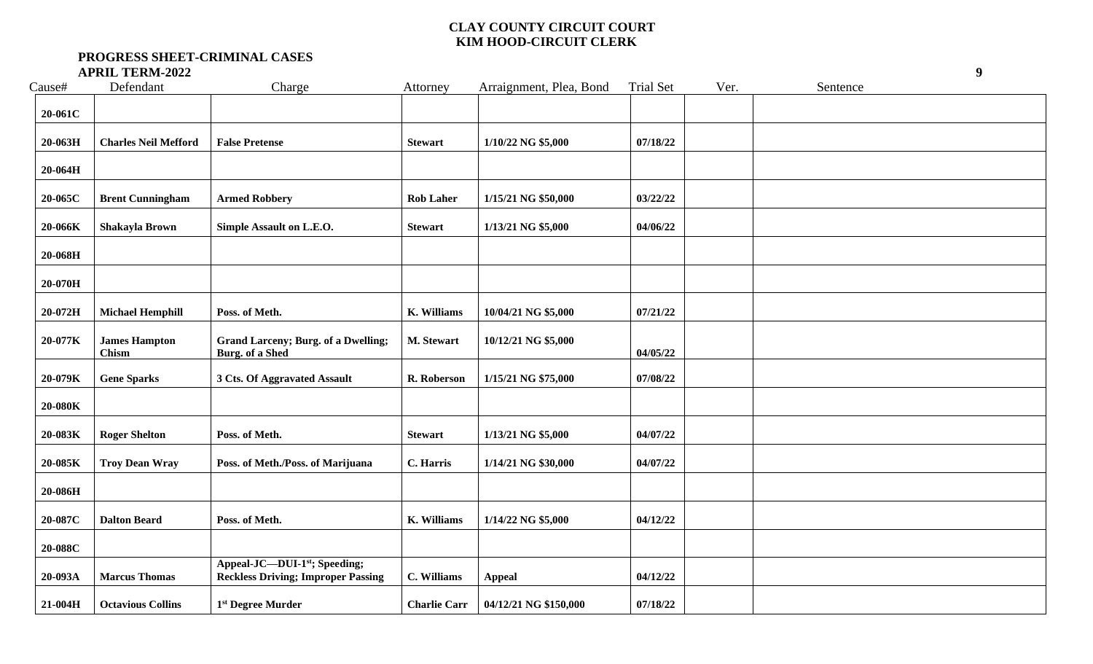| Cause#  | Defendant                     | Charge                                                                    | Attorney            | Arraignment, Plea, Bond | <b>Trial Set</b> | Ver. | Sentence |  |
|---------|-------------------------------|---------------------------------------------------------------------------|---------------------|-------------------------|------------------|------|----------|--|
| 20-061C |                               |                                                                           |                     |                         |                  |      |          |  |
| 20-063H | <b>Charles Neil Mefford</b>   | <b>False Pretense</b>                                                     | <b>Stewart</b>      | 1/10/22 NG \$5,000      | 07/18/22         |      |          |  |
| 20-064H |                               |                                                                           |                     |                         |                  |      |          |  |
| 20-065C | <b>Brent Cunningham</b>       | <b>Armed Robbery</b>                                                      | <b>Rob Laher</b>    | 1/15/21 NG \$50,000     | 03/22/22         |      |          |  |
| 20-066K | Shakayla Brown                | Simple Assault on L.E.O.                                                  | <b>Stewart</b>      | 1/13/21 NG \$5,000      | 04/06/22         |      |          |  |
| 20-068H |                               |                                                                           |                     |                         |                  |      |          |  |
| 20-070H |                               |                                                                           |                     |                         |                  |      |          |  |
| 20-072H | <b>Michael Hemphill</b>       | Poss. of Meth.                                                            | <b>K.</b> Williams  | 10/04/21 NG \$5,000     | 07/21/22         |      |          |  |
| 20-077K | <b>James Hampton</b><br>Chism | <b>Grand Larceny; Burg. of a Dwelling;</b><br><b>Burg.</b> of a Shed      | M. Stewart          | 10/12/21 NG \$5,000     | 04/05/22         |      |          |  |
| 20-079K | <b>Gene Sparks</b>            | 3 Cts. Of Aggravated Assault                                              | R. Roberson         | 1/15/21 NG \$75,000     | 07/08/22         |      |          |  |
| 20-080K |                               |                                                                           |                     |                         |                  |      |          |  |
| 20-083K | <b>Roger Shelton</b>          | Poss. of Meth.                                                            | <b>Stewart</b>      | 1/13/21 NG \$5,000      | 04/07/22         |      |          |  |
| 20-085K | Troy Dean Wray                | Poss. of Meth./Poss. of Marijuana                                         | C. Harris           | 1/14/21 NG \$30,000     | 04/07/22         |      |          |  |
| 20-086H |                               |                                                                           |                     |                         |                  |      |          |  |
| 20-087C | <b>Dalton Beard</b>           | Poss. of Meth.                                                            | <b>K. Williams</b>  | 1/14/22 NG \$5,000      | 04/12/22         |      |          |  |
| 20-088C |                               |                                                                           |                     |                         |                  |      |          |  |
| 20-093A | <b>Marcus Thomas</b>          | Appeal-JC-DUI-1st; Speeding;<br><b>Reckless Driving; Improper Passing</b> | C. Williams         | <b>Appeal</b>           | 04/12/22         |      |          |  |
| 21-004H | <b>Octavious Collins</b>      | 1 <sup>st</sup> Degree Murder                                             | <b>Charlie Carr</b> | 04/12/21 NG \$150,000   | 07/18/22         |      |          |  |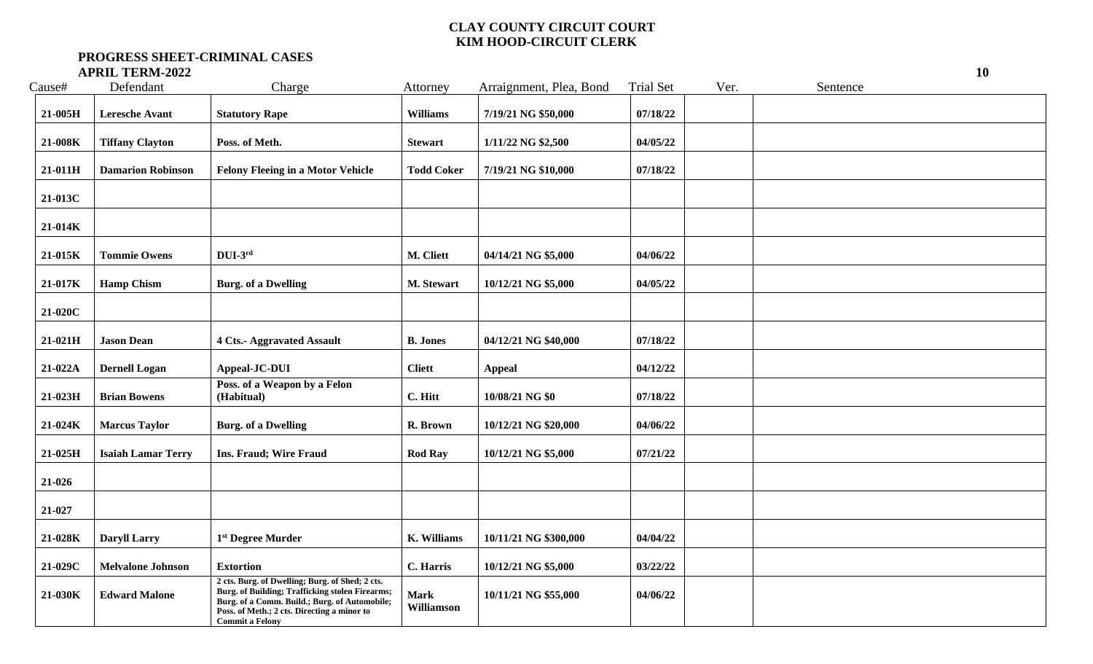| Cause#  | Defendant                 | Charge                                                                                                                                                                                                                       | Attorney                  | Arraignment, Plea, Bond | <b>Trial Set</b> | Ver. | Sentence |
|---------|---------------------------|------------------------------------------------------------------------------------------------------------------------------------------------------------------------------------------------------------------------------|---------------------------|-------------------------|------------------|------|----------|
| 21-005H | <b>Leresche Avant</b>     | <b>Statutory Rape</b>                                                                                                                                                                                                        | Williams                  | 7/19/21 NG \$50,000     | 07/18/22         |      |          |
| 21-008K | <b>Tiffany Clayton</b>    | Poss. of Meth.                                                                                                                                                                                                               | <b>Stewart</b>            | 1/11/22 NG \$2,500      | 04/05/22         |      |          |
| 21-011H | <b>Damarion Robinson</b>  | <b>Felony Fleeing in a Motor Vehicle</b>                                                                                                                                                                                     | <b>Todd Coker</b>         | 7/19/21 NG \$10,000     | 07/18/22         |      |          |
| 21-013C |                           |                                                                                                                                                                                                                              |                           |                         |                  |      |          |
| 21-014K |                           |                                                                                                                                                                                                                              |                           |                         |                  |      |          |
| 21-015K | <b>Tommie Owens</b>       | $DUI-3^{rd}$                                                                                                                                                                                                                 | M. Cliett                 | 04/14/21 NG \$5,000     | 04/06/22         |      |          |
| 21-017K | <b>Hamp Chism</b>         | <b>Burg. of a Dwelling</b>                                                                                                                                                                                                   | M. Stewart                | 10/12/21 NG \$5,000     | 04/05/22         |      |          |
| 21-020C |                           |                                                                                                                                                                                                                              |                           |                         |                  |      |          |
| 21-021H | <b>Jason Dean</b>         | <b>4 Cts.- Aggravated Assault</b>                                                                                                                                                                                            | <b>B.</b> Jones           | 04/12/21 NG \$40,000    | 07/18/22         |      |          |
| 21-022A | <b>Dernell Logan</b>      | Appeal-JC-DUI                                                                                                                                                                                                                | <b>Cliett</b>             | <b>Appeal</b>           | 04/12/22         |      |          |
| 21-023H | <b>Brian Bowens</b>       | Poss. of a Weapon by a Felon<br>(Habitual)                                                                                                                                                                                   | C. Hitt                   | 10/08/21 NG \$0         | 07/18/22         |      |          |
| 21-024K | <b>Marcus Taylor</b>      | <b>Burg.</b> of a Dwelling                                                                                                                                                                                                   | R. Brown                  | 10/12/21 NG \$20,000    | 04/06/22         |      |          |
| 21-025H | <b>Isaiah Lamar Terry</b> | <b>Ins. Fraud; Wire Fraud</b>                                                                                                                                                                                                | <b>Rod Ray</b>            | 10/12/21 NG \$5,000     | 07/21/22         |      |          |
| 21-026  |                           |                                                                                                                                                                                                                              |                           |                         |                  |      |          |
| 21-027  |                           |                                                                                                                                                                                                                              |                           |                         |                  |      |          |
| 21-028K | <b>Daryll Larry</b>       | 1 <sup>st</sup> Degree Murder                                                                                                                                                                                                | K. Williams               | 10/11/21 NG \$300,000   | 04/04/22         |      |          |
| 21-029C | <b>Melvalone Johnson</b>  | <b>Extortion</b>                                                                                                                                                                                                             | C. Harris                 | 10/12/21 NG \$5,000     | 03/22/22         |      |          |
| 21-030K | <b>Edward Malone</b>      | 2 cts. Burg. of Dwelling; Burg. of Shed; 2 cts.<br>Burg. of Building; Trafficking stolen Firearms;<br>Burg. of a Comm. Build.; Burg. of Automobile;<br>Poss. of Meth.; 2 cts. Directing a minor to<br><b>Commit a Felony</b> | <b>Mark</b><br>Williamson | 10/11/21 NG \$55,000    | 04/06/22         |      |          |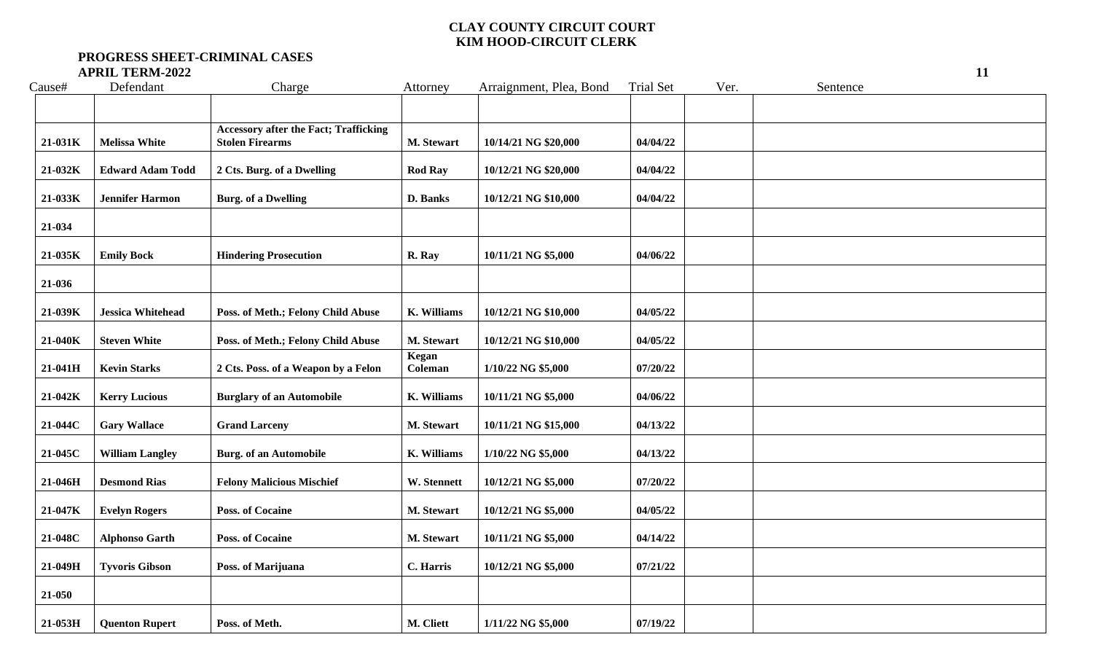| Cause#    | Defendant                | Charge                                                                 | Attorney         | Arraignment, Plea, Bond | <b>Trial Set</b> | Ver. | Sentence |
|-----------|--------------------------|------------------------------------------------------------------------|------------------|-------------------------|------------------|------|----------|
|           |                          |                                                                        |                  |                         |                  |      |          |
| 21-031K   | <b>Melissa White</b>     | <b>Accessory after the Fact; Trafficking</b><br><b>Stolen Firearms</b> | M. Stewart       | 10/14/21 NG \$20,000    | 04/04/22         |      |          |
| 21-032K   | <b>Edward Adam Todd</b>  | 2 Cts. Burg. of a Dwelling                                             | <b>Rod Ray</b>   | 10/12/21 NG \$20,000    | 04/04/22         |      |          |
| 21-033K   | <b>Jennifer Harmon</b>   | <b>Burg.</b> of a Dwelling                                             | D. Banks         | 10/12/21 NG \$10,000    | 04/04/22         |      |          |
| 21-034    |                          |                                                                        |                  |                         |                  |      |          |
| 21-035K   | <b>Emily Bock</b>        | <b>Hindering Prosecution</b>                                           | R. Ray           | 10/11/21 NG \$5,000     | 04/06/22         |      |          |
| 21-036    |                          |                                                                        |                  |                         |                  |      |          |
| 21-039K   | <b>Jessica Whitehead</b> | Poss. of Meth.; Felony Child Abuse                                     | K. Williams      | 10/12/21 NG \$10,000    | 04/05/22         |      |          |
| 21-040K   | <b>Steven White</b>      | Poss. of Meth.; Felony Child Abuse                                     | M. Stewart       | 10/12/21 NG \$10,000    | 04/05/22         |      |          |
| $21-041H$ | <b>Kevin Starks</b>      | 2 Cts. Poss. of a Weapon by a Felon                                    | Kegan<br>Coleman | 1/10/22 NG \$5,000      | 07/20/22         |      |          |
| 21-042K   | <b>Kerry Lucious</b>     | <b>Burglary of an Automobile</b>                                       | K. Williams      | 10/11/21 NG \$5,000     | 04/06/22         |      |          |
| 21-044C   | <b>Gary Wallace</b>      | <b>Grand Larceny</b>                                                   | M. Stewart       | 10/11/21 NG \$15,000    | 04/13/22         |      |          |
| 21-045C   | <b>William Langley</b>   | <b>Burg.</b> of an Automobile                                          | K. Williams      | 1/10/22 NG \$5,000      | 04/13/22         |      |          |
| 21-046H   | <b>Desmond Rias</b>      | <b>Felony Malicious Mischief</b>                                       | W. Stennett      | 10/12/21 NG \$5,000     | 07/20/22         |      |          |
| 21-047K   | <b>Evelyn Rogers</b>     | <b>Poss. of Cocaine</b>                                                | M. Stewart       | 10/12/21 NG \$5,000     | 04/05/22         |      |          |
| 21-048C   | <b>Alphonso Garth</b>    | Poss. of Cocaine                                                       | M. Stewart       | 10/11/21 NG \$5,000     | 04/14/22         |      |          |
| 21-049H   | <b>Tyvoris Gibson</b>    | Poss. of Marijuana                                                     | C. Harris        | 10/12/21 NG \$5,000     | 07/21/22         |      |          |
| 21-050    |                          |                                                                        |                  |                         |                  |      |          |
| 21-053H   | <b>Quenton Rupert</b>    | Poss. of Meth.                                                         | M. Cliett        | 1/11/22 NG \$5,000      | 07/19/22         |      |          |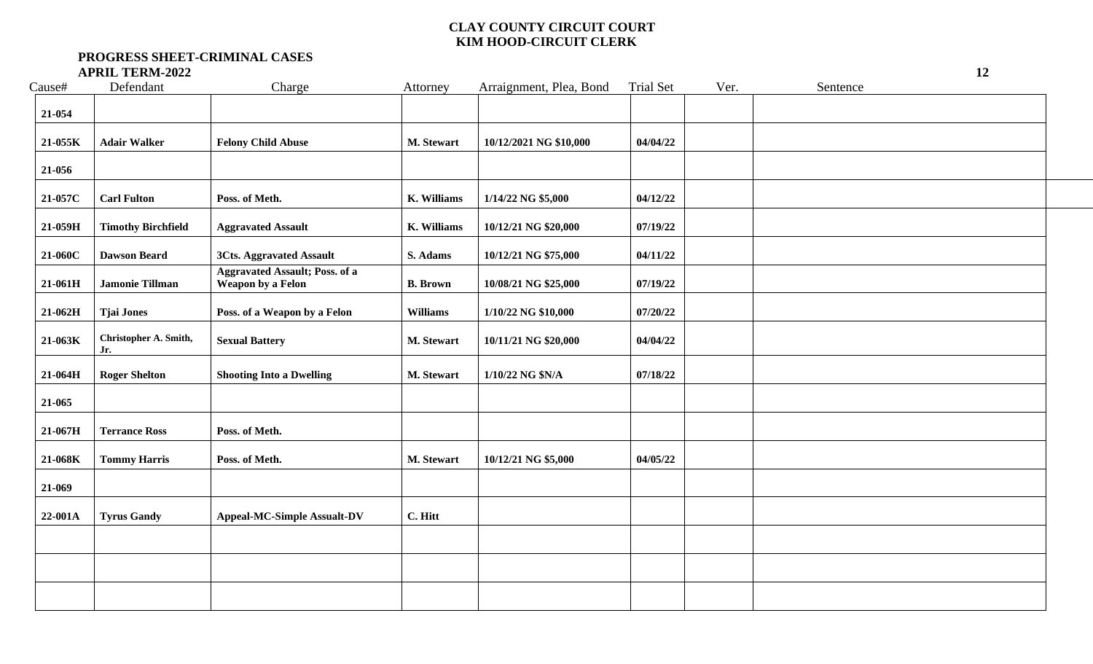| Cause#  | Defendant                    | Charge                                                     | Attorney        | Arraignment, Plea, Bond | <b>Trial Set</b> | Ver. | Sentence |
|---------|------------------------------|------------------------------------------------------------|-----------------|-------------------------|------------------|------|----------|
| 21-054  |                              |                                                            |                 |                         |                  |      |          |
| 21-055K | <b>Adair Walker</b>          | <b>Felony Child Abuse</b>                                  | M. Stewart      | 10/12/2021 NG \$10,000  | 04/04/22         |      |          |
| 21-056  |                              |                                                            |                 |                         |                  |      |          |
| 21-057C | <b>Carl Fulton</b>           | Poss. of Meth.                                             | K. Williams     | 1/14/22 NG \$5,000      | 04/12/22         |      |          |
| 21-059H | <b>Timothy Birchfield</b>    | <b>Aggravated Assault</b>                                  | K. Williams     | 10/12/21 NG \$20,000    | 07/19/22         |      |          |
| 21-060C | <b>Dawson Beard</b>          | <b>3Cts. Aggravated Assault</b>                            | S. Adams        | 10/12/21 NG \$75,000    | 04/11/22         |      |          |
| 21-061H | <b>Jamonie Tillman</b>       | <b>Aggravated Assault; Poss. of a</b><br>Weapon by a Felon | <b>B.</b> Brown | 10/08/21 NG \$25,000    | 07/19/22         |      |          |
| 21-062H | <b>Tjai Jones</b>            | Poss. of a Weapon by a Felon                               | <b>Williams</b> | 1/10/22 NG \$10,000     | 07/20/22         |      |          |
| 21-063K | Christopher A. Smith,<br>Jr. | <b>Sexual Battery</b>                                      | M. Stewart      | 10/11/21 NG \$20,000    | 04/04/22         |      |          |
| 21-064H | <b>Roger Shelton</b>         | <b>Shooting Into a Dwelling</b>                            | M. Stewart      | 1/10/22 NG \$N/A        | 07/18/22         |      |          |
| 21-065  |                              |                                                            |                 |                         |                  |      |          |
| 21-067H | <b>Terrance Ross</b>         | Poss. of Meth.                                             |                 |                         |                  |      |          |
| 21-068K | <b>Tommy Harris</b>          | Poss. of Meth.                                             | M. Stewart      | 10/12/21 NG \$5,000     | 04/05/22         |      |          |
| 21-069  |                              |                                                            |                 |                         |                  |      |          |
| 22-001A | <b>Tyrus Gandy</b>           | <b>Appeal-MC-Simple Assualt-DV</b>                         | C. Hitt         |                         |                  |      |          |
|         |                              |                                                            |                 |                         |                  |      |          |
|         |                              |                                                            |                 |                         |                  |      |          |
|         |                              |                                                            |                 |                         |                  |      |          |